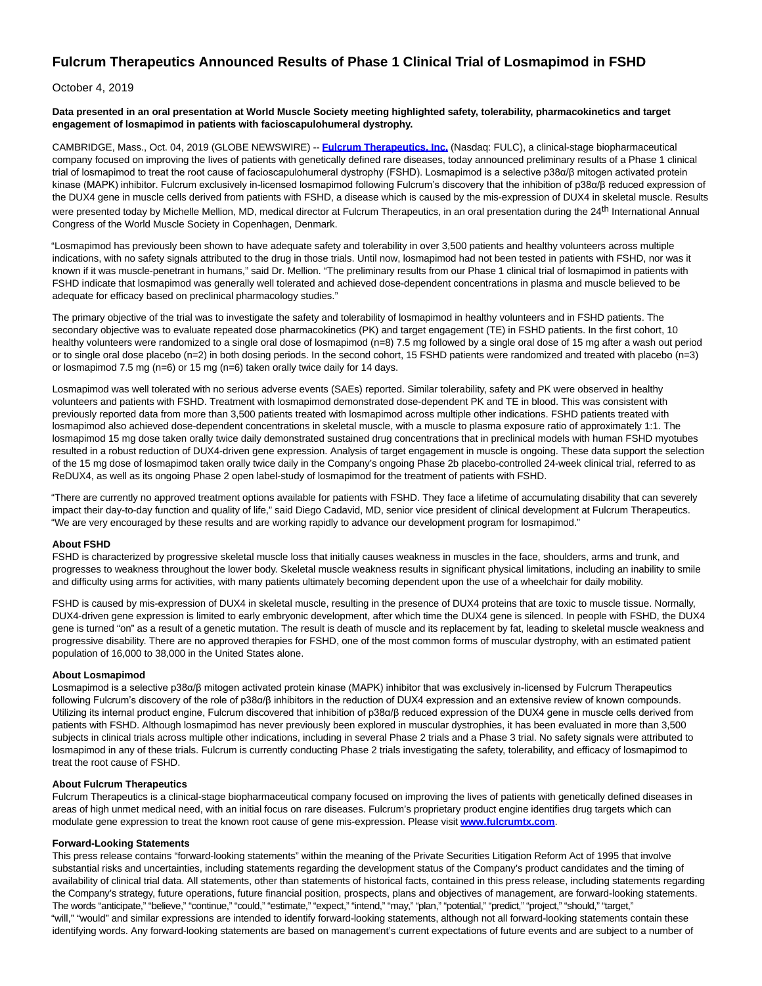# **Fulcrum Therapeutics Announced Results of Phase 1 Clinical Trial of Losmapimod in FSHD**

## October 4, 2019

#### **Data presented in an oral presentation at World Muscle Society meeting highlighted safety, tolerability, pharmacokinetics and target engagement of losmapimod in patients with facioscapulohumeral dystrophy.**

CAMBRIDGE, Mass., Oct. 04, 2019 (GLOBE NEWSWIRE) -- **[Fulcrum Therapeutics, Inc.](https://www.globenewswire.com/Tracker?data=1ufdnXbAv67N8ufGNuXEpuztb58jZiHVyBEV-96zgx3Yq9EC4QTqpiTjfnQwDPXerqX_VMHqleN72dDMl6yN9_CCR3Qw4ezyTgMdo7-BKiasxTCp7FImYeqeRGUVM08kdeN_tB0xueTG1XCTfpGi-L56vGC-FbldmNqpXvbtCmZQcIyU4AWiuQrKkuyHABu4yblA9lde3xPMFGRgcI_deIVkjoO0yWUBFvJr8nHb08uQAfroXfUqLbyF1jf80s8P6UNpdeLGgcddacaQ3qyc34HFf-lM2EYGT1ufNTk53_nfWi5P8quQMcd07ywF2HKKnXFhTQU0BSXEDld4EuCaZFnRgSFAhJRHI340p_8wOe8R3iBASw192WXyDZpVXZAnm9W5tCgn3NLFwf2plCD3PIb6CzzHoWCBFmEe3-C5vl0UeexAEM2UuZUZOo5kAtGFG1ACtQI8INcmADs-QUOh8iT7dZ-pmBIc_ClWIz5F4k1zZmQ9azEc-CYFor-g4-Ju)** (Nasdaq: FULC), a clinical-stage biopharmaceutical company focused on improving the lives of patients with genetically defined rare diseases, today announced preliminary results of a Phase 1 clinical trial of losmapimod to treat the root cause of facioscapulohumeral dystrophy (FSHD). Losmapimod is a selective p38α/β mitogen activated protein kinase (MAPK) inhibitor. Fulcrum exclusively in-licensed losmapimod following Fulcrum's discovery that the inhibition of p38α/β reduced expression of the DUX4 gene in muscle cells derived from patients with FSHD, a disease which is caused by the mis-expression of DUX4 in skeletal muscle. Results were presented today by Michelle Mellion, MD, medical director at Fulcrum Therapeutics, in an oral presentation during the 24<sup>th</sup> International Annual Congress of the World Muscle Society in Copenhagen, Denmark.

"Losmapimod has previously been shown to have adequate safety and tolerability in over 3,500 patients and healthy volunteers across multiple indications, with no safety signals attributed to the drug in those trials. Until now, losmapimod had not been tested in patients with FSHD, nor was it known if it was muscle-penetrant in humans," said Dr. Mellion. "The preliminary results from our Phase 1 clinical trial of losmapimod in patients with FSHD indicate that losmapimod was generally well tolerated and achieved dose-dependent concentrations in plasma and muscle believed to be adequate for efficacy based on preclinical pharmacology studies."

The primary objective of the trial was to investigate the safety and tolerability of losmapimod in healthy volunteers and in FSHD patients. The secondary objective was to evaluate repeated dose pharmacokinetics (PK) and target engagement (TE) in FSHD patients. In the first cohort, 10 healthy volunteers were randomized to a single oral dose of losmapimod (n=8) 7.5 mg followed by a single oral dose of 15 mg after a wash out period or to single oral dose placebo (n=2) in both dosing periods. In the second cohort, 15 FSHD patients were randomized and treated with placebo (n=3) or losmapimod 7.5 mg (n=6) or 15 mg (n=6) taken orally twice daily for 14 days.

Losmapimod was well tolerated with no serious adverse events (SAEs) reported. Similar tolerability, safety and PK were observed in healthy volunteers and patients with FSHD. Treatment with losmapimod demonstrated dose-dependent PK and TE in blood. This was consistent with previously reported data from more than 3,500 patients treated with losmapimod across multiple other indications. FSHD patients treated with losmapimod also achieved dose-dependent concentrations in skeletal muscle, with a muscle to plasma exposure ratio of approximately 1:1. The losmapimod 15 mg dose taken orally twice daily demonstrated sustained drug concentrations that in preclinical models with human FSHD myotubes resulted in a robust reduction of DUX4-driven gene expression. Analysis of target engagement in muscle is ongoing. These data support the selection of the 15 mg dose of losmapimod taken orally twice daily in the Company's ongoing Phase 2b placebo-controlled 24-week clinical trial, referred to as ReDUX4, as well as its ongoing Phase 2 open label-study of losmapimod for the treatment of patients with FSHD.

"There are currently no approved treatment options available for patients with FSHD. They face a lifetime of accumulating disability that can severely impact their day-to-day function and quality of life," said Diego Cadavid, MD, senior vice president of clinical development at Fulcrum Therapeutics. "We are very encouraged by these results and are working rapidly to advance our development program for losmapimod."

### **About FSHD**

FSHD is characterized by progressive skeletal muscle loss that initially causes weakness in muscles in the face, shoulders, arms and trunk, and progresses to weakness throughout the lower body. Skeletal muscle weakness results in significant physical limitations, including an inability to smile and difficulty using arms for activities, with many patients ultimately becoming dependent upon the use of a wheelchair for daily mobility.

FSHD is caused by mis-expression of DUX4 in skeletal muscle, resulting in the presence of DUX4 proteins that are toxic to muscle tissue. Normally, DUX4-driven gene expression is limited to early embryonic development, after which time the DUX4 gene is silenced. In people with FSHD, the DUX4 gene is turned "on" as a result of a genetic mutation. The result is death of muscle and its replacement by fat, leading to skeletal muscle weakness and progressive disability. There are no approved therapies for FSHD, one of the most common forms of muscular dystrophy, with an estimated patient population of 16,000 to 38,000 in the United States alone.

### **About Losmapimod**

Losmapimod is a selective p38α/β mitogen activated protein kinase (MAPK) inhibitor that was exclusively in-licensed by Fulcrum Therapeutics following Fulcrum's discovery of the role of p38α/β inhibitors in the reduction of DUX4 expression and an extensive review of known compounds. Utilizing its internal product engine, Fulcrum discovered that inhibition of p38α/β reduced expression of the DUX4 gene in muscle cells derived from patients with FSHD. Although losmapimod has never previously been explored in muscular dystrophies, it has been evaluated in more than 3,500 subjects in clinical trials across multiple other indications, including in several Phase 2 trials and a Phase 3 trial. No safety signals were attributed to losmapimod in any of these trials. Fulcrum is currently conducting Phase 2 trials investigating the safety, tolerability, and efficacy of losmapimod to treat the root cause of FSHD.

### **About Fulcrum Therapeutics**

Fulcrum Therapeutics is a clinical-stage biopharmaceutical company focused on improving the lives of patients with genetically defined diseases in areas of high unmet medical need, with an initial focus on rare diseases. Fulcrum's proprietary product engine identifies drug targets which can modulate gene expression to treat the known root cause of gene mis-expression. Please visit **[www.fulcrumtx.com](https://www.globenewswire.com/Tracker?data=pQ8u9ehXo6Z6cXAUZpnPFpAdcB-Rn3P9uPKs2FwaOd26udsnLo0p1lGkN1lBtG_m7TD4nDJa5AUgr0f1hp4FvDNQgG_2G2jYYwoixLsyaoitpdsswX5NpEFhyPkZKxHwnMOAPELLC4LvUCMRerR4cCpiNZ3423Si0bbMpNuGzN1c2ljwQdxJKt6yardfiwXwm0PYuYCdiuP1Fuezg0mDw_KBXLy53dONBpSyHQ4ODfu99GewdZ0ATsZtW-SGLAq6CGen6kGQqUtjTQErGDFimJOrSzCg8VKL7UnGEOT3tsOpgkXT1sJ5ArUXm9v5ofgcc6sPQYPeb8qMkGpS0B8nlezZKscZwuIi2Qhx2u1_JHT7KGJAvbH_3qblaryXfJt-nXINet360VG0At_rxvmmY4l8ycErqXTEKsJt0U6wnrE=)**.

### **Forward-Looking Statements**

This press release contains "forward-looking statements" within the meaning of the Private Securities Litigation Reform Act of 1995 that involve substantial risks and uncertainties, including statements regarding the development status of the Company's product candidates and the timing of availability of clinical trial data. All statements, other than statements of historical facts, contained in this press release, including statements regarding the Company's strategy, future operations, future financial position, prospects, plans and objectives of management, are forward-looking statements. The words "anticipate," "believe," "continue," "could," "estimate," "expect," "intend," "may," "plan," "potential," "predict," "project," "should," "target," "will," "would" and similar expressions are intended to identify forward-looking statements, although not all forward-looking statements contain these identifying words. Any forward-looking statements are based on management's current expectations of future events and are subject to a number of